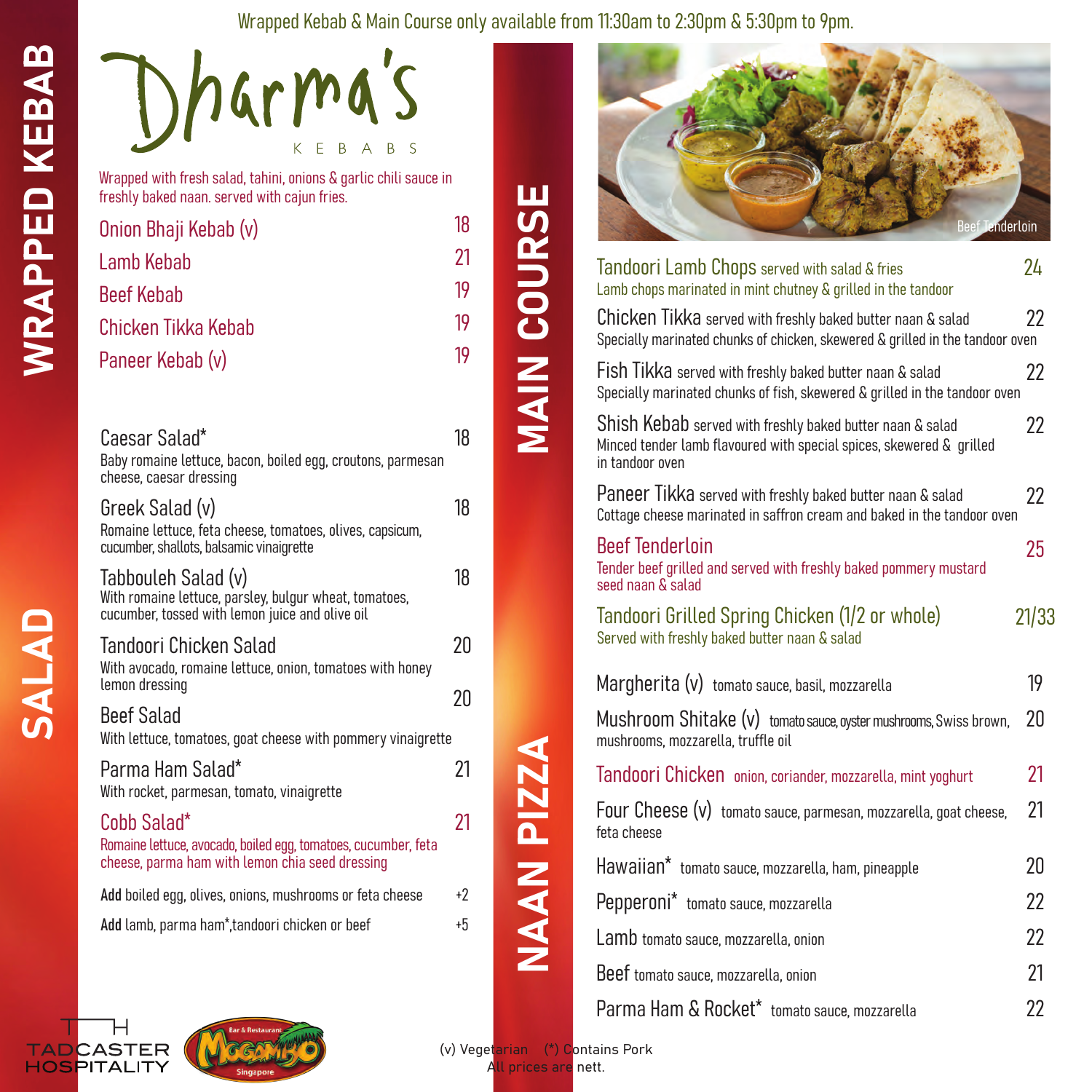## Wrapped Kebab & Main Course only available from 11:30am to 2:30pm & 5:30pm to 9pm.

MAIN COURSE

**MAIN COURSE** 

| Dharma's                                                     |  |             |  |
|--------------------------------------------------------------|--|-------------|--|
|                                                              |  | K E B A B S |  |
| Wrapped with fresh salad, tahini, onions & garlic chili saud |  |             |  |

Wrapped with fresh salad, tahini, onions & garlic chili sauce in freshly baked naan. served with cajun fries.

| Onion Bhaji Kebab (v) | 18 |
|-----------------------|----|
| Lamb Kebab            | 21 |
| <b>Beef Kebab</b>     | 19 |
| Chicken Tikka Kebab   | 19 |
| Paneer Kebab (v)      | 19 |
|                       |    |

| Caesar Salad*                                                                          | 18 |
|----------------------------------------------------------------------------------------|----|
| Baby romaine lettuce, bacon, boiled egg, croutons, parmesan<br>cheese, caesar dressing |    |
| Greek Salad (v)                                                                        | 18 |
| Romaine lettuce, feta cheese, tomatoes, olives, capsicum,                              |    |

| cucumber, shallots, balsamic vinaigrette                                                                                         |          |
|----------------------------------------------------------------------------------------------------------------------------------|----------|
| Tabbouleh Salad (v)<br>With romaine lettuce, parsley, bulgur wheat, tomatoes,<br>cucumber, tossed with lemon juice and olive oil | 18       |
| Tandoori Chicken Salad<br>With avocado, romaine lettuce, onion, tomatoes with honey<br>lemon dressing                            | 20<br>20 |
| Beef Salad<br>With lettuce, tomatoes, goat cheese with pommery vinaigrette                                                       |          |
| Parma Ham Salad*<br>With rocket, parmesan, tomato, vinaigrette                                                                   | 21       |
| Cobb Salad*<br>Romaine lettuce, avocado, boiled egg, tomatoes, cucumber, feta<br>cheese, parma ham with lemon chia seed dressing | 21       |
| Add boiled egg, olives, onions, mushrooms or feta cheese                                                                         | $+2$     |
| Add lamb, parma ham*, tandoori chicken or beef                                                                                   | $+5$     |
|                                                                                                                                  |          |



| Tandoori Lamb Chops served with salad & fries<br>Lamb chops marinated in mint chutney & grilled in the tandoor                                       | 24    |
|------------------------------------------------------------------------------------------------------------------------------------------------------|-------|
| Chicken Tikka served with freshly baked butter naan & salad<br>Specially marinated chunks of chicken, skewered & grilled in the tandoor oven         | 22    |
| Fish Tikka served with freshly baked butter naan & salad<br>Specially marinated chunks of fish, skewered & grilled in the tandoor oven               | 22    |
| Shish Kebab served with freshly baked butter naan & salad<br>Minced tender lamb flavoured with special spices, skewered & grilled<br>in tandoor oven | 22    |
| Paneer Tikka served with freshly baked butter naan & salad<br>Cottage cheese marinated in saffron cream and baked in the tandoor oven                | 22    |
| <b>Beef Tenderloin</b><br>Tender beef grilled and served with freshly baked pommery mustard<br>seed naan & salad                                     | 25    |
| Tandoori Grilled Spring Chicken (1/2 or whole)<br>Served with freshly baked butter naan & salad                                                      | 21/33 |
| Margherita (v) tomato sauce, basil, mozzarella                                                                                                       | 19    |
| Mushroom Shitake (v) tomato sauce, oyster mushrooms, Swiss brown,<br>mushrooms, mozzarella, truffle oil                                              | 20    |
| Tandoori Chicken onion, coriander, mozzarella, mint yoghurt                                                                                          | 21    |
| Four Cheese (v) tomato sauce, parmesan, mozzarella, goat cheese,<br>feta cheese                                                                      | 21    |
| Hawaiian* tomato sauce, mozzarella, ham, pineapple                                                                                                   | 20    |
| Pepperoni* tomato sauce, mozzarella                                                                                                                  | 22    |
| Lamb tomato sauce, mozzarella, onion                                                                                                                 | 22    |
| Beef tomato sauce, mozzarella, onion                                                                                                                 | 21    |
| Parma Ham & Rocket* tomato sauce, mozzarella                                                                                                         | 22    |





(v) Vegetarian (\*) Contains Pork All prices are nett.

NAAN PIZZA

NAAN PIZZA

WRAPPED KEBAB

**WRAPPED KEBAB**